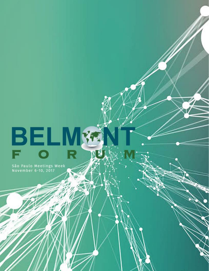# BELM

São Paulo Meetings Week November 6-10, 2017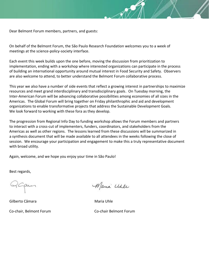Dear Belmont Forum members, partners, and guests:

 On behalf of the Belmont Forum, the São Paulo Research Foundation welcomes you to a week of meetings at the science-policy-society interface.

 Each event this week builds upon the one before, moving the discussion from prioritization to implementation, ending with a workshop where interested organizations can participate in the process of building an international opportunity around mutual interest in Food Security and Safety. Observers are also welcome to attend, to better understand the Belmont Forum collaborative process.

 This year we also have a number of side events that reflect a growing interest in partnerships to maximize resources and meet grand interdisciplinary and transdisciplinary goals. On Tuesday morning, the Inter-American Forum will be advancing collaborative possibilities among economies of all sizes in the Americas. The Global Forum will bring together on Friday philanthrophic and aid and development organizations to enable transformative projects that address the Sustainable Development Goals. We look forward to working with these fora as they develop.

 The progression from Regional Info Day to funding workshop allows the Forum members and partners to interact with a cross-cut of implementers, funders, coordinators, and stakeholders from the Americas as well as other regions. The lessons learned from these discussions will be summarized in a synthesis document that will be made available to all attendees in the weeks following the close of session. We encourage your participation and engagement to make this a truly representative document with broad utility.

Again, welcome, and we hope you enjoy your time in São Paulo!

Best regards,

Gilberto Câmara Maria Uhle

Maria Uhle

Co-chair, Belmont Forum Co-chair Belmont Forum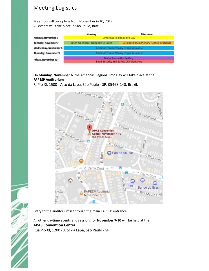## Meeting Logistics

Meetings will take place from November 6-10, 2017. All events will take place in São Paulo, Brazil.

|                            | <b>Morning</b>                                                      | Afternoon                                      |  |
|----------------------------|---------------------------------------------------------------------|------------------------------------------------|--|
| Monday, November 6         | <b>Americas Regional Info Day</b>                                   |                                                |  |
| <b>Tuesday, November 7</b> | Inter-American Forum (Invite Only)                                  | <b>Belmont Forum Plenary (Closed Sessions)</b> |  |
| Wednesday, November 8      | <b>Belmont Forum Plenary (Open Sessions)</b>                        |                                                |  |
| Thursday, November 9       | <b>Belmont Forum Plenary (Open Sessions)</b>                        |                                                |  |
| Friday, November 10        | Global Forum (Invite Only)<br>Food Security and Safety CRA Workshop |                                                |  |

On **Monday, November 6**, the Americas Regional Info Day will take place at the: **FAPESP Auditorium**

R. Pio XI, 1500 - Alto da Lapa, São Paulo - SP, 05468-140, Brazil.



Entry to the auditorium is through the main FAPESP entrance.

All other daytime events and sessions for **November 7-10** will be held at the: **APAS Convention Center** Rua Pio XI, 1200 - Alto da Lapa, São Paulo - SP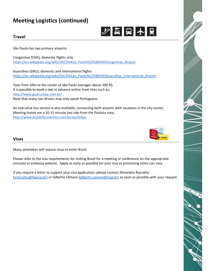# **Meeting Logistics (continued)**



## **Travel**

São Paulo has two primary airports:

Congonhas (CGH), domestic flights only [https://en.wikipedia.org/wiki/S%C3%A3o\\_Paulo%E2%80%93Congonhas\\_Airport](https://en.wikipedia.org/wiki/S%C3%A3o_Paulo%E2%80%93Congonhas_Airport)

Guarulhos (GRU), domestic and international flights [https://en.wikipedia.org/wiki/S%C3%A3o\\_Paulo%E2%80%93Guarulhos\\_International\\_Airport](https://en.wikipedia.org/wiki/S%C3%A3o_Paulo%E2%80%93Guarulhos_International_Airport)

Taxis from GRU to the center of São Paulo averages about 200 R\$. It is possible to book a taxi in advance online from sites such as: <http://www.guarucoop.com.br/> . Note that many taxi drivers may only speak Portuguese.

An executive bus service is also available, connecting both airports with locations in the city center. Meeting hotels are a 10-15 minute taxi ride from the Paulista stop. <http://www.airportbusservice.com.br/en/linhas>



## **Visas**

Many attendees will require visas to enter Brazil.

Please refer to the visa requirements for visiting Brazil for a meeting or conference on the appropriate consular or embassy website. Apply as early as possible for your visa as processing times can vary.

If you require a letter to support your visa application, please contact Alexandre Roccatto [\(aroccatto@fapesp.br\)](mailto:aroccatto@fapesp.br)) or Gilberto Câmara [\(gilberto.camara@inpe.br\)](mailto:gilberto.camara@inpe.br)) as soon as possible with your request.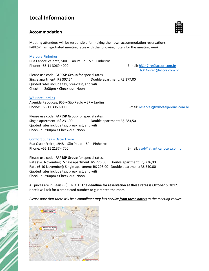## **Local Information**

#### **Accommodation**

Meeting attendees will be responsible for making their own accommodation reservations. FAPESP has negotiated meeting rates with the following hotels for the meeting week:

#### [Mercure Pinheiros](https://www.accorhotels.com/pt/hotel-3147-mercure-sao-paulo-pinheiros-hotel/index.shtml)

Rua Capote Valente, 500 – São Paulo – SP – Pinheiros Phone: +55 11 3069-4000 **E-mail: [h3147-re@accor.com.br](mailto:h3147-re@accor.com.br)** 

[h3147-re1@accor.com.br](mailto:h3147-re1@accor.com.br)

Please use code: **FAPESP Group** for special rates. Single apartment: R\$ 307,54 Double apartment: R\$ 377,00 Quoted rates include tax, breakfast, and wifi Check-in: 2:00pm / Check-out: Noon

#### [WZ Hotel Jardins](http://www.wzhoteljardins.com.br/)

Avenida Rebouças, 955 – São Paulo – SP – Jardins Phone: +55 11 3069-0000 example and the E-mail: [reservas@wzhoteljardins.com.br](mailto:reservas@wzhoteljardins.com.br)

Please use code: **FAPESP Group** for special rates. Single apartment: R\$ 231,00 Double apartment: R\$ 283,50 Quoted rates include tax, breakfast, and wifi Check-in: 2:00pm / Check-out: Noon

#### [Comfort Suites](http://www.atlanticahotels.com.br/hotel/sao-paulo/comfort-suites-oscar-freire?utm_source=google&utm_medium=cpc&utm_campaign=Cooperadas_Destino_SP_ComfortOscarFreire&utm_term=keyword) – Oscar Freire

Rua Oscar Freire, 1948 – São Paulo – SP – Pinheiros Phone: +55 11 2137-4700 E-mail: [csof@atlanticahotels.com.br](mailto:csof@atlanticahotels.com.br)

Please use code: **FAPESP Group** for special rates. Rate (5-6 November): Single apartment: R\$ 276,50 Double apartment: R\$ 276,00 Rate (6-10 November): Single apartment: R\$ 298,00 Double apartment: R\$ 340,00 Quoted rates include tax, breakfast, and wifi Check-in: 2:00pm / Check-out: Noon

All prices are in Reais (R\$). NOTE: **The deadline for reservation at these rates is October 5, 2017.** Hotels will ask for a credit card number to guarantee the room.

*Please note that there will be a complimentary bus service from these hotels to the meeting venues.*



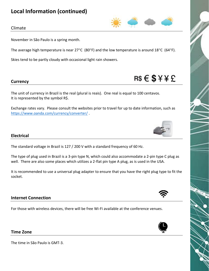# **Local Information (continued)**



#### Climate

November in São Paulo is a spring month.

The average high temperature is near 27 $^{\circ}$ C (80 $^{\circ}$ F) and the low temperature is around 18 $^{\circ}$ C (64 $^{\circ}$ F).

Skies tend to be partly cloudy with occasional light rain showers.

#### **Currency**

The unit of currency in Brazil is the real (plural is reais). One real is equal to 100 centavos. It is represented by the symbol R\$.

Exchange rates vary. Please consult the websites prior to travel for up to date information, such as <https://www.oanda.com/currency/converter/> .



 $RS \in$ \$ $Y \nless E$ 

#### **Electrical**

The standard voltage in Brazil is 127 / 200 V with a standard frequency of 60 Hz.

The type of plug used in Brazil is a 3-pin type N, which could also accommodate a 2-pin type C plug as well. There are also some places which utilizes a 2-flat pin type A plug, as is used in the USA.

It is recommended to use a universal plug adapter to ensure that you have the right plug type to fit the socket.

#### **Internet Connection**

For those with wireless devices, there will be free Wi-Fi available at the conference venues.



The time in São Paulo is GMT-3.

**Time Zone**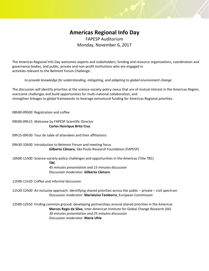# **Americas Regional Info Day**

FAPESP Auditorium Monday, November 6, 2017

The Americas Regional Info Day welcomes experts and stakeholders, funding and resource organizations, coordination and governance bodies, and public, private and non-profit institutions who are engaged in activities relevant to the Belmont Forum Challenge:

*to provide knowledge for understanding, mitigating, and adapting to global environment change* .

The discussion will identify priorities at the science-society-policy nexus that are of mutual interest in the Americas Region, overcome challenges and build opportunities for multi-national collaboration, and strengthen linkages to global frameworks to leverage extramural funding for Americas Regional priorities.

08h00-09h00 Registration and coffee

09h00-09h15 Welcome by FAPESP Scientific Director **Carlos Henrique Brito Cruz**

09h15-09h30 Tour de table of attendees and their affiliations

09h30-10h00 Introduction to Belmont Forum and meeting focus **Gilberto Câmara**, São Paulo Research Foundation (FAPESP)

10h00-11h00 Science-society-policy challenges and opportunities in the Americas (Title TBC)

**TBC**

*45 minutes presentation and 15 minutes discussion* Discussion moderator: **Gilberto Câmara**

11h00-11h20 Coffee and informal discussion

11h20-12h00 An inclusive approach: Identifying shared priorities across the public – private – civil spectrum Discussion moderator: **Marialuisa Tamborra**, European Commission

12h00-12h50 Finding common ground: developing partnerships around shared priorities in the Americas **Marcos Regis da Silva**, Inter-American Institute for Global Change Research (IAI) *30 minutes presentation and 25 minutes discussion* Discussion moderator: **Maria Uhle**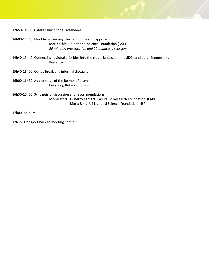12h50-14h00 Catered lunch for all attendees

14h00-14h40 Flexible partnering: the Belmont Forum approach **Maria Uhle**, US National Science Foundation (NSF) *20 minutes presentation and 20 minutes discussion*

14h40-15h40 Connecting regional priorities into the global landscape: the SDGs and other frameworks Presenter TBC

15h40-16h00 Coffee break and informal discussion

16h00-16h30 Added value of the Belmont Forum **Erica Key**, Belmont Forum

16h30-17h00 Synthesis of discussion and recommendations Moderators: **Gilberto Câmara**, São Paulo Research Foundation (FAPESP) **Maria Uhle**, US National Science Foundation (NSF)

17h00 Adjourn

17h15 Transport back to meeting hotels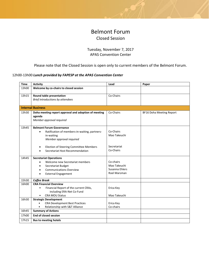## Belmont Forum Closed Session

#### Tuesday, November 7, 2017 APAS Convention Center

#### Please note that the Closed Session is open only to current members of the Belmont Forum.

#### 12h00-13h00 *Lunch provided by FAPESP at the APAS Convention Center*

| <b>Time</b> | <b>Activity</b>                                                          | Lead           | Paper                           |
|-------------|--------------------------------------------------------------------------|----------------|---------------------------------|
| 13h00       | Welcome by co-chairs to closed session                                   |                |                                 |
|             |                                                                          |                |                                 |
| 13h15       | Round table presentation                                                 | Co-Chairs      |                                 |
|             | Brief introductions by attendees                                         |                |                                 |
|             | <b>Internal Business</b>                                                 |                |                                 |
|             |                                                                          | Co-Chairs      |                                 |
| 13h30       | Doha meeting report approval and adoption of meeting<br>agenda           |                | <b>BF16 Doha Meeting Report</b> |
|             | Member approval required                                                 |                |                                 |
|             |                                                                          |                |                                 |
| 13h45       | <b>Belmont Forum Governance</b>                                          |                |                                 |
|             | Ratification of members-in-waiting, partners-<br>$\bullet$               | Co-Chairs      |                                 |
|             | in-waiting                                                               | Mao Takeuchi   |                                 |
|             | Member approval required                                                 |                |                                 |
|             |                                                                          |                |                                 |
|             | Election of Steering Committee Members<br>$\bullet$                      | Secretariat    |                                 |
|             | Secretariat Host Recommendation                                          | Co-Chairs      |                                 |
| 14h45       | <b>Secretariat Operations</b>                                            |                |                                 |
|             | Welcome new Secretariat members<br>$\bullet$                             | Co-chairs      |                                 |
|             | Secretariat Budget<br>$\bullet$                                          | Mao Takeuchi   |                                 |
|             | <b>Communications Overview</b><br>$\bullet$                              | Susanna Ehlers |                                 |
|             | <b>External Engagement</b><br>$\bullet$                                  | Roel Marsman   |                                 |
|             |                                                                          |                |                                 |
| 15h30       | <b>Coffee Break</b>                                                      |                |                                 |
| 16h00       | <b>CRA Financial Overview</b>                                            |                |                                 |
|             | Financial Report of the current CRAs,<br>$\bullet$                       | Erica Key      |                                 |
|             | including ERA-Net Co-Fund                                                |                |                                 |
|             | <b>CRA MOU Status</b><br>$\bullet$                                       | Mao Takeuchi   |                                 |
| 16h30       | <b>Strategic Development</b>                                             |                |                                 |
|             | <b>CRA Development Best Practices</b>                                    | Erica Key      |                                 |
| 16h45       | Relationship with S&T Alliance<br>$\bullet$<br><b>Summary of Actions</b> | Co-chairs      |                                 |
|             |                                                                          |                |                                 |
| 17h00       | <b>End of closed session</b>                                             |                |                                 |
| 17h15       | <b>Bus to meeting hotels</b>                                             |                |                                 |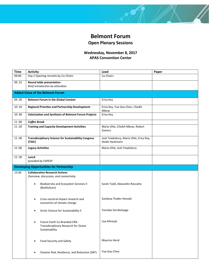

## **Wednesday, November 8, 2017 APAS Convention Center**

| <b>Time</b> | <b>Activity</b>                                                                        | Lead                                                     | Paper |
|-------------|----------------------------------------------------------------------------------------|----------------------------------------------------------|-------|
| 09:00       | Day 2 Opening remarks by Co-Chairs                                                     | Co-Chairs                                                |       |
| 09:15       | Round table presentation<br>Brief introduction by attendees                            |                                                          |       |
|             | <b>Added Value of the Belmont Forum</b>                                                |                                                          |       |
| 09:30       | <b>Belmont Forum in the Global Context</b>                                             | Erica Key                                                |       |
| 10:10       | <b>Regional Priorities and Partnership Development</b>                                 | Erica Key, Yue-Gau Chen, Cheikh<br>Mbow                  |       |
| 10:40       | Valorization and Synthesis of Belmont Forum Projects                                   | Erica Key                                                |       |
| 11:00       | <b>Coffee Break</b>                                                                    |                                                          |       |
| 11:20       | <b>Training and Capacity Development Activities</b>                                    | Maria Uhle, Cheikh Mbow, Robert<br>Samors                |       |
| 11:40       | <b>Transdisciplinary Science for Sustainability Congress</b><br>(TSSC)                 | Josh Tewksbury, Maria Uhle, Erica Key,<br>Heide Hackmann |       |
| 12:00       | <b>Legacy Activities</b>                                                               | Maria Uhle, Josh Tewksbury                               |       |
| 12:30       | Lunch<br>provided by FAPESP                                                            |                                                          |       |
|             | <b>Developing Opportunities for Partnership</b>                                        |                                                          |       |
| 13:30       | <b>Collaborative Research Actions</b><br>Overview, discussion, and connectivity        |                                                          |       |
|             | <b>Biodiversity and Ecosystem Services II</b><br>(BioDivScen)                          | Sarah Todd, Alexandre Roccatto                           |       |
|             | Cross-sectoral impact research and<br>$\bullet$<br>economics of climate change         | Svetlana Thaller-Honold                                  |       |
|             | Arctic Science for Sustainability II                                                   | Yaroslav Sorokotyaga                                     |       |
|             | Future Earth Co-Branded CRA:<br>Transdisciplinary Research for Ocean<br>Sustainability | Lisa Almesjö                                             |       |
|             | Food Security and Safety                                                               | Maurice Heral                                            |       |
|             | Disaster Risk, Resilience, and Reduction (DR <sup>3</sup> )                            | Yue-Gau Chen                                             |       |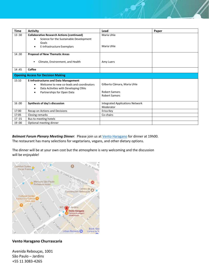| <b>Time</b> | <b>Activity</b>                                                                                                                                                                               | Lead                                                                        | Paper |
|-------------|-----------------------------------------------------------------------------------------------------------------------------------------------------------------------------------------------|-----------------------------------------------------------------------------|-------|
| 13:30       | <b>Collaborative Research Actions (continued)</b><br>Science for the Sustainable Development<br>٠<br>Goals<br>E-Infrastructure Exemplars<br>$\bullet$                                         | Maria Uhle<br>Maria Uhle                                                    |       |
| 14:30       | <b>Proposal of New Thematic Areas</b><br>Climate, Environment, and Health                                                                                                                     | Amy Luers                                                                   |       |
| 14:45       | Coffee                                                                                                                                                                                        |                                                                             |       |
|             | <b>Opening Access for Decision Making</b>                                                                                                                                                     |                                                                             |       |
| 15:10       | <b>E-Infrastructures and Data Management</b><br>Welcome to new co-leads and coordinators<br>$\bullet$<br>Data Activities with Developing CRAs<br>$\bullet$<br>Partnerships for Open Data<br>٠ | Gilberto Câmara, Maria Uhle<br><b>Robert Samors</b><br><b>Robert Samors</b> |       |
| 16:00       | Synthesis of day's discussion                                                                                                                                                                 | <b>Integrated Applications Network</b><br>Moderator                         |       |
| 17:00       | Recap on Actions and Decisions                                                                                                                                                                | Erica Key                                                                   |       |
| 17:05       | Closing remarks                                                                                                                                                                               | Co-chairs                                                                   |       |
| 17:15       | Bus to meeting hotels                                                                                                                                                                         |                                                                             |       |
| 19:00       | Optional meeting dinner                                                                                                                                                                       |                                                                             |       |

*Belmont Forum Plenary Meeting Dinner*: Please join us at [Vento Haragano](http://ventoharagano.com.br/) for dinner at 19h00. The restaurant has many selections for vegetarians, vegans, and other dietary options.

The dinner will be at your own cost but the atmosphere is very welcoming and the discussion will be enjoyable!



#### **Vento Haragano Churrascaria**

Avenida Rebouças, 1001 São Paulo – Jardins +55 11 3083-4265